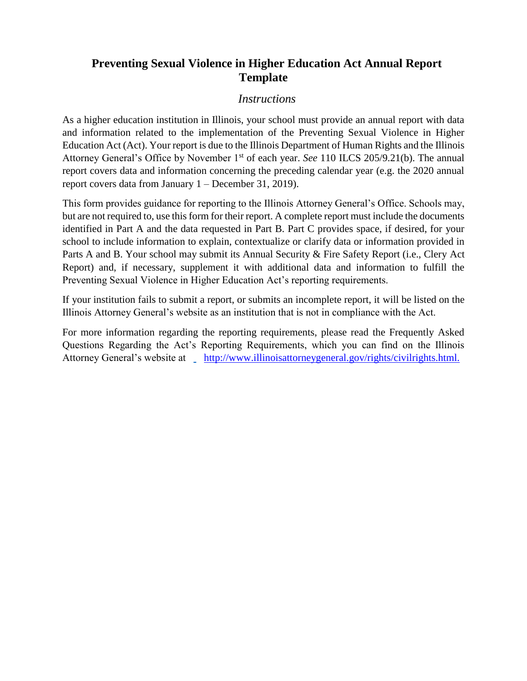# **Preventing Sexual Violence in Higher Education Act Annual Report Template**

## *Instructions*

As a higher education institution in Illinois, your school must provide an annual report with data and information related to the implementation of the Preventing Sexual Violence in Higher Education Act (Act). Your report is due to the Illinois Department of Human Rights and the Illinois Attorney General's Office by November 1<sup>st</sup> of each year. *See* 110 ILCS 205/9.21(b). The annual report covers data and information concerning the preceding calendar year (e.g. the 2020 annual report covers data from January 1 – December 31, 2019).

This form provides guidance for reporting to the Illinois Attorney General's Office. Schools may, but are not required to, use this form for their report. A complete report must include the documents identified in Part A and the data requested in Part B. Part C provides space, if desired, for your school to include information to explain, contextualize or clarify data or information provided in Parts A and B. Your school may submit its Annual Security & Fire Safety Report (i.e., Clery Act Report) and, if necessary, supplement it with additional data and information to fulfill the Preventing Sexual Violence in Higher Education Act's reporting requirements.

If your institution fails to submit a report, or submits an incomplete report, it will be listed on the Illinois Attorney General's website as an institution that is not in compliance with the Act.

For more information regarding the reporting requirements, please read the Frequently Asked Questions Regarding the Act's Reporting Requirements, which you can find on the Illinois Attorney General's website at [http://www.illinoisattorneygeneral.gov/rights/civilrights.html.](http://www.illinoisattorneygeneral.gov/rights/civilrights.html)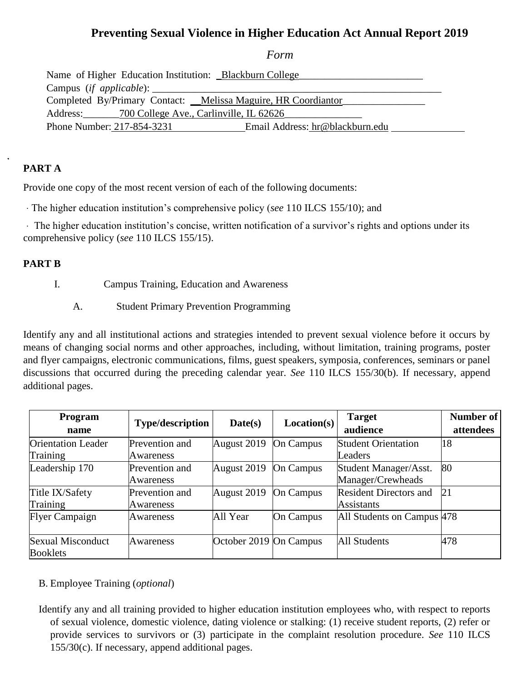# **Preventing Sexual Violence in Higher Education Act Annual Report 2019**

*Form*

| Name of Higher Education Institution: _Blackburn College_ |                                                                |  |  |  |
|-----------------------------------------------------------|----------------------------------------------------------------|--|--|--|
| Campus (if applicable): $\qquad \qquad$                   |                                                                |  |  |  |
|                                                           | Completed By/Primary Contact: _Melissa Maguire, HR Coordiantor |  |  |  |
| Address: 700 College Ave., Carlinville, IL 62626          |                                                                |  |  |  |
| Phone Number: 217-854-3231                                | Email Address: hr@blackburn.edu                                |  |  |  |

# **PART A**

Provide one copy of the most recent version of each of the following documents:

The higher education institution's comprehensive policy (*see* 110 ILCS 155/10); and

The higher education institution's concise, written notification of a survivor's rights and options under its comprehensive policy (*see* 110 ILCS 155/15).

#### **PART B**

- I. Campus Training, Education and Awareness
	- A. Student Primary Prevention Programming

Identify any and all institutional actions and strategies intended to prevent sexual violence before it occurs by means of changing social norms and other approaches, including, without limitation, training programs, poster and flyer campaigns, electronic communications, films, guest speakers, symposia, conferences, seminars or panel discussions that occurred during the preceding calendar year. *See* 110 ILCS 155/30(b). If necessary, append additional pages.

| Program<br>name                             | <b>Type/description</b>     | Date(s)                | Location(s)      | <b>Target</b><br>audience                          | Number of<br>attendees |
|---------------------------------------------|-----------------------------|------------------------|------------------|----------------------------------------------------|------------------------|
| <b>Orientation Leader</b><br>Training       | Prevention and<br>Awareness | August 2019            | <b>On Campus</b> | <b>Student Orientation</b><br>Leaders              | 18                     |
| Leadership 170                              | Prevention and<br>Awareness | August 2019            | <b>On Campus</b> | Student Manager/Asst.<br>Manager/Crewheads         | 80                     |
| Title IX/Safety<br>Training                 | Prevention and<br>Awareness | August 2019            | <b>On Campus</b> | <b>Resident Directors and</b><br><b>Assistants</b> | 21                     |
| <b>Flyer Campaign</b>                       | <b>Awareness</b>            | All Year               | <b>On Campus</b> | All Students on Campus 478                         |                        |
| <b>Sexual Misconduct</b><br><b>Booklets</b> | Awareness                   | October 2019 On Campus |                  | <b>All Students</b>                                | 478                    |

#### B. Employee Training (*optional*)

Identify any and all training provided to higher education institution employees who, with respect to reports of sexual violence, domestic violence, dating violence or stalking: (1) receive student reports, (2) refer or provide services to survivors or (3) participate in the complaint resolution procedure. *See* 110 ILCS 155/30(c). If necessary, append additional pages.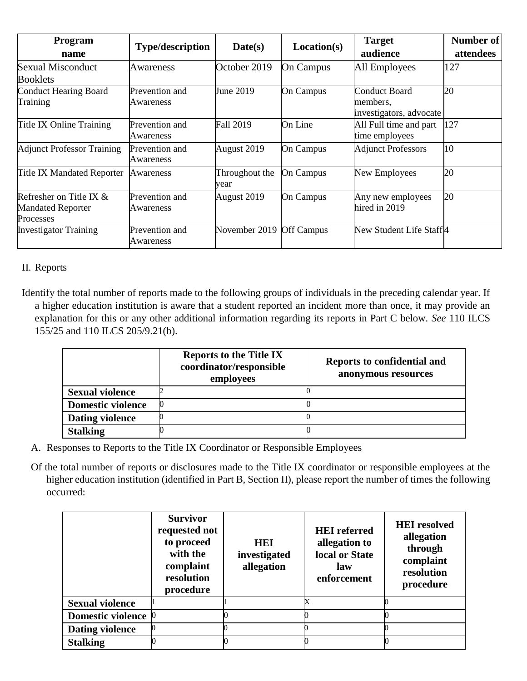| Program<br>name                                                    | <b>Type/description</b>     | Date(s)                | Location(s)       | <b>Target</b><br>audience                            | Number of<br>attendees |
|--------------------------------------------------------------------|-----------------------------|------------------------|-------------------|------------------------------------------------------|------------------------|
| Sexual Misconduct<br><b>Booklets</b>                               | A wareness                  | October 2019           | On Campus         | All Employees                                        | 127                    |
| Conduct Hearing Board<br>Training                                  | Prevention and<br>Awareness | June 2019              | <b>On Campus</b>  | Conduct Board<br>members,<br>investigators, advocate | 20                     |
| Title IX Online Training                                           | Prevention and<br>Awareness | <b>Fall 2019</b>       | On Line           | All Full time and part<br>time employees             | 127                    |
| <b>Adjunct Professor Training</b>                                  | Prevention and<br>Awareness | August 2019            | <b>On Campus</b>  | <b>Adjunct Professors</b>                            | 10                     |
| Title IX Mandated Reporter                                         | Awareness                   | Throughout the<br>year | On Campus         | New Employees                                        | 20                     |
| Refresher on Title IX $&$<br><b>Mandated Reporter</b><br>Processes | Prevention and<br>Awareness | August 2019            | On Campus         | Any new employees<br>hired in 2019                   | 20                     |
| <b>Investigator Training</b>                                       | Prevention and<br>Awareness | November 2019          | <b>Off Campus</b> | New Student Life Staff4                              |                        |

## II. Reports

Identify the total number of reports made to the following groups of individuals in the preceding calendar year. If a higher education institution is aware that a student reported an incident more than once, it may provide an explanation for this or any other additional information regarding its reports in Part C below. *See* 110 ILCS 155/25 and 110 ILCS 205/9.21(b).

|                          | <b>Reports to the Title IX</b><br>coordinator/responsible<br>employees | <b>Reports to confidential and</b><br>anonymous resources |
|--------------------------|------------------------------------------------------------------------|-----------------------------------------------------------|
| <b>Sexual violence</b>   |                                                                        |                                                           |
| <b>Domestic violence</b> |                                                                        |                                                           |
| <b>Dating violence</b>   |                                                                        |                                                           |
| <b>Stalking</b>          |                                                                        |                                                           |

A. Responses to Reports to the Title IX Coordinator or Responsible Employees

Of the total number of reports or disclosures made to the Title IX coordinator or responsible employees at the higher education institution (identified in Part B, Section II), please report the number of times the following occurred:

|                               | <b>Survivor</b><br>requested not<br>to proceed<br>with the<br>complaint<br>resolution<br>procedure | HEI<br>investigated<br>allegation | <b>HEI</b> referred<br>allegation to<br>local or State<br>law<br>enforcement | <b>HEI</b> resolved<br>allegation<br>through<br>complaint<br>resolution<br>procedure |
|-------------------------------|----------------------------------------------------------------------------------------------------|-----------------------------------|------------------------------------------------------------------------------|--------------------------------------------------------------------------------------|
| <b>Sexual violence</b>        |                                                                                                    |                                   | Х                                                                            |                                                                                      |
| Domestic violence $ 0\rangle$ |                                                                                                    |                                   |                                                                              |                                                                                      |
| <b>Dating violence</b>        |                                                                                                    |                                   |                                                                              |                                                                                      |
| <b>Stalking</b>               |                                                                                                    |                                   |                                                                              |                                                                                      |